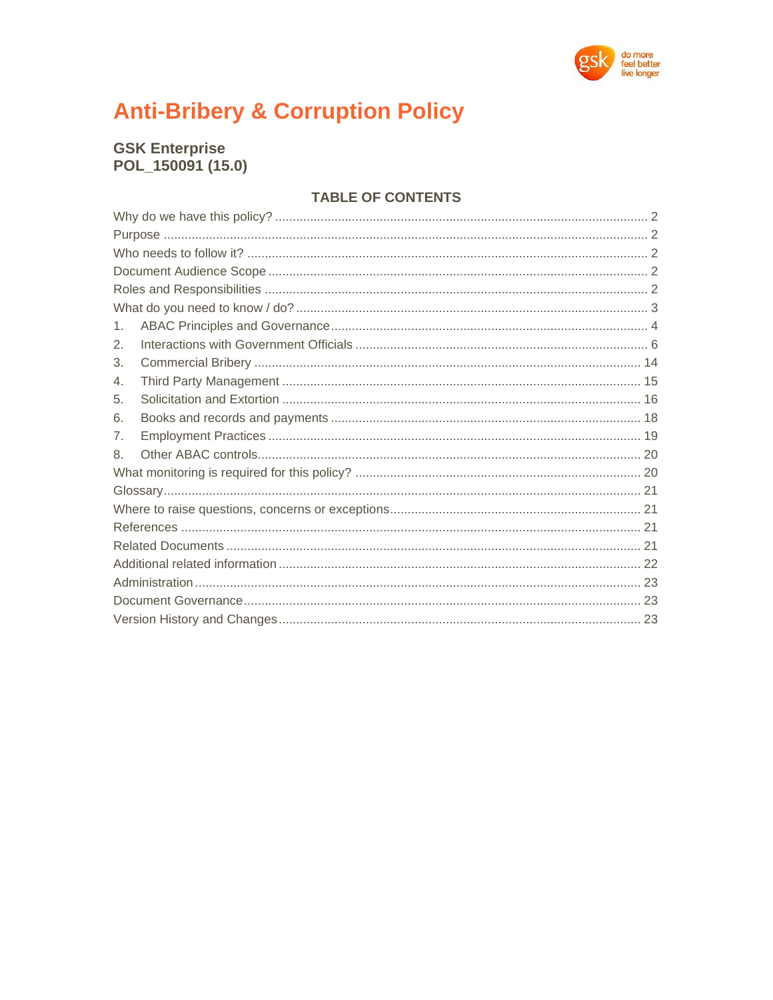

# **Anti-Bribery & Corruption Policy**

# **GSK Enterprise** POL\_150091 (15.0)

# **TABLE OF CONTENTS**

| 1. |  |  |  |
|----|--|--|--|
| 2. |  |  |  |
| 3. |  |  |  |
| 4. |  |  |  |
| 5. |  |  |  |
| 6. |  |  |  |
| 7. |  |  |  |
| 8. |  |  |  |
|    |  |  |  |
|    |  |  |  |
|    |  |  |  |
|    |  |  |  |
|    |  |  |  |
|    |  |  |  |
|    |  |  |  |
|    |  |  |  |
|    |  |  |  |
|    |  |  |  |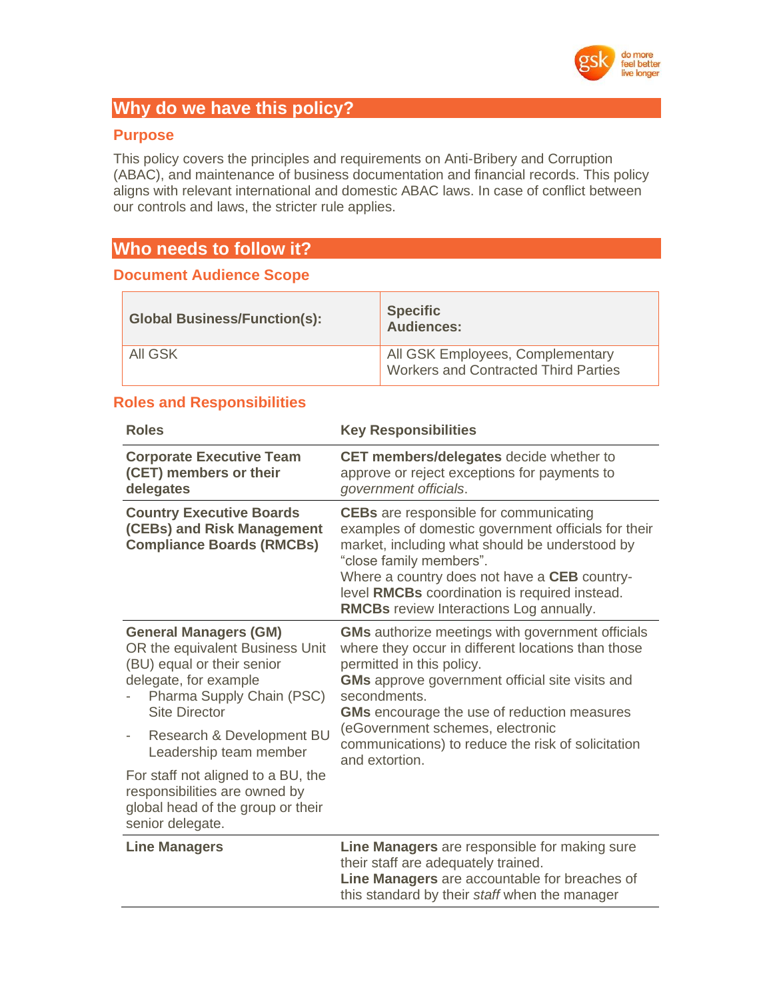

# **Why do we have this policy?**

# **Purpose**

This policy covers the principles and requirements on Anti-Bribery and Corruption (ABAC), and maintenance of business documentation and financial records. This policy aligns with relevant international and domestic ABAC laws. In case of conflict between our controls and laws, the stricter rule applies.

# **Who needs to follow it?**

# **Document Audience Scope**

| <b>Global Business/Function(s):</b> | <b>Specific</b><br><b>Audiences:</b>                                            |
|-------------------------------------|---------------------------------------------------------------------------------|
| All GSK                             | All GSK Employees, Complementary<br><b>Workers and Contracted Third Parties</b> |

# **Roles and Responsibilities**

| <b>Roles</b>                                                                                                                                                                                                                                                   | <b>Key Responsibilities</b>                                                                                                                                                                                                                                                                                                                                          |  |
|----------------------------------------------------------------------------------------------------------------------------------------------------------------------------------------------------------------------------------------------------------------|----------------------------------------------------------------------------------------------------------------------------------------------------------------------------------------------------------------------------------------------------------------------------------------------------------------------------------------------------------------------|--|
| <b>Corporate Executive Team</b><br>(CET) members or their<br>delegates                                                                                                                                                                                         | <b>CET members/delegates</b> decide whether to<br>approve or reject exceptions for payments to<br>government officials.                                                                                                                                                                                                                                              |  |
| <b>Country Executive Boards</b><br>(CEBs) and Risk Management<br><b>Compliance Boards (RMCBs)</b>                                                                                                                                                              | <b>CEBs</b> are responsible for communicating<br>examples of domestic government officials for their<br>market, including what should be understood by<br>"close family members".<br>Where a country does not have a CEB country-<br>level RMCBs coordination is required instead.<br><b>RMCBs</b> review Interactions Log annually.                                 |  |
| <b>General Managers (GM)</b><br>OR the equivalent Business Unit<br>(BU) equal or their senior<br>delegate, for example<br>Pharma Supply Chain (PSC)<br><b>Site Director</b><br>Research & Development BU<br>$\overline{\phantom{a}}$<br>Leadership team member | <b>GMs</b> authorize meetings with government officials<br>where they occur in different locations than those<br>permitted in this policy.<br><b>GMs</b> approve government official site visits and<br>secondments.<br><b>GMs</b> encourage the use of reduction measures<br>(eGovernment schemes, electronic<br>communications) to reduce the risk of solicitation |  |
| For staff not aligned to a BU, the<br>responsibilities are owned by<br>global head of the group or their<br>senior delegate.                                                                                                                                   | and extortion.                                                                                                                                                                                                                                                                                                                                                       |  |
| <b>Line Managers</b>                                                                                                                                                                                                                                           | Line Managers are responsible for making sure<br>their staff are adequately trained.<br>Line Managers are accountable for breaches of<br>this standard by their staff when the manager                                                                                                                                                                               |  |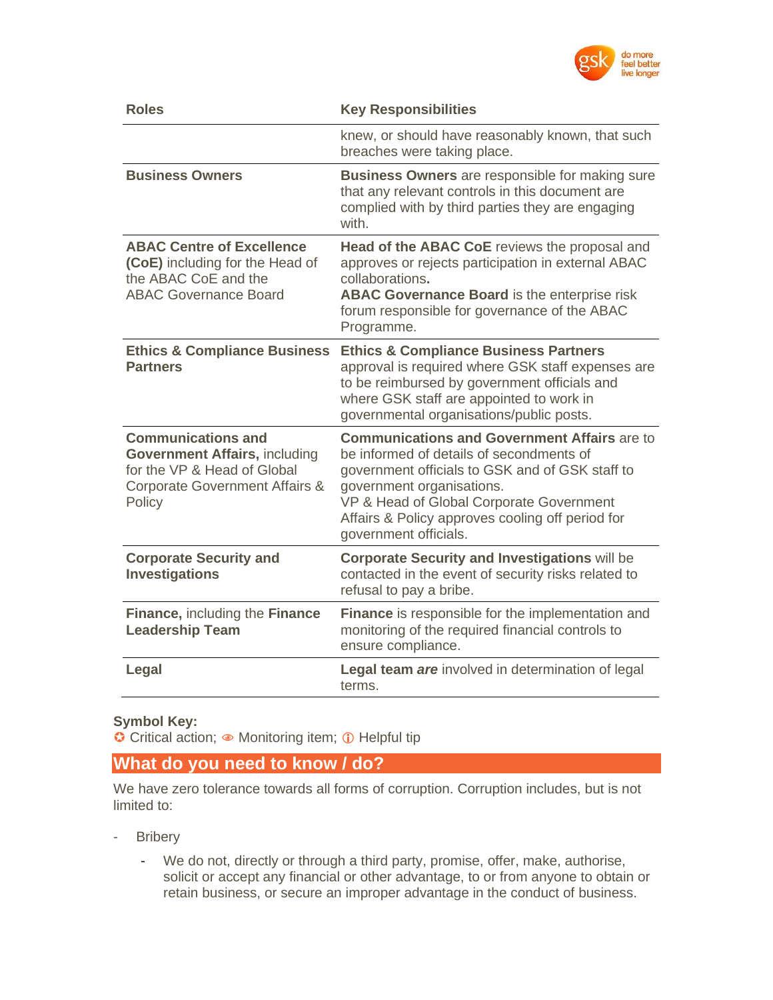

| <b>Roles</b>                                                                                                                                            | <b>Key Responsibilities</b>                                                                                                                                                                                                                                                                              |
|---------------------------------------------------------------------------------------------------------------------------------------------------------|----------------------------------------------------------------------------------------------------------------------------------------------------------------------------------------------------------------------------------------------------------------------------------------------------------|
|                                                                                                                                                         | knew, or should have reasonably known, that such<br>breaches were taking place.                                                                                                                                                                                                                          |
| <b>Business Owners</b>                                                                                                                                  | <b>Business Owners</b> are responsible for making sure<br>that any relevant controls in this document are<br>complied with by third parties they are engaging<br>with.                                                                                                                                   |
| <b>ABAC Centre of Excellence</b><br>(CoE) including for the Head of<br>the ABAC CoE and the<br><b>ABAC Governance Board</b>                             | Head of the ABAC CoE reviews the proposal and<br>approves or rejects participation in external ABAC<br>collaborations.<br><b>ABAC Governance Board is the enterprise risk</b><br>forum responsible for governance of the ABAC<br>Programme.                                                              |
| <b>Ethics &amp; Compliance Business</b><br><b>Partners</b>                                                                                              | <b>Ethics &amp; Compliance Business Partners</b><br>approval is required where GSK staff expenses are<br>to be reimbursed by government officials and<br>where GSK staff are appointed to work in<br>governmental organisations/public posts.                                                            |
| <b>Communications and</b><br><b>Government Affairs, including</b><br>for the VP & Head of Global<br><b>Corporate Government Affairs &amp;</b><br>Policy | <b>Communications and Government Affairs are to</b><br>be informed of details of secondments of<br>government officials to GSK and of GSK staff to<br>government organisations.<br>VP & Head of Global Corporate Government<br>Affairs & Policy approves cooling off period for<br>government officials. |
| <b>Corporate Security and</b><br><b>Investigations</b>                                                                                                  | <b>Corporate Security and Investigations will be</b><br>contacted in the event of security risks related to<br>refusal to pay a bribe.                                                                                                                                                                   |
| Finance, including the Finance<br><b>Leadership Team</b>                                                                                                | <b>Finance</b> is responsible for the implementation and<br>monitoring of the required financial controls to<br>ensure compliance.                                                                                                                                                                       |
| Legal                                                                                                                                                   | Legal team are involved in determination of legal<br>terms.                                                                                                                                                                                                                                              |

#### **Symbol Key:**

Critical action; • Monitoring item; 0 Helpful tip

# **What do you need to know / do?**

We have zero tolerance towards all forms of corruption. Corruption includes, but is not limited to:

- Bribery
	- We do not, directly or through a third party, promise, offer, make, authorise, solicit or accept any financial or other advantage, to or from anyone to obtain or retain business, or secure an improper advantage in the conduct of business.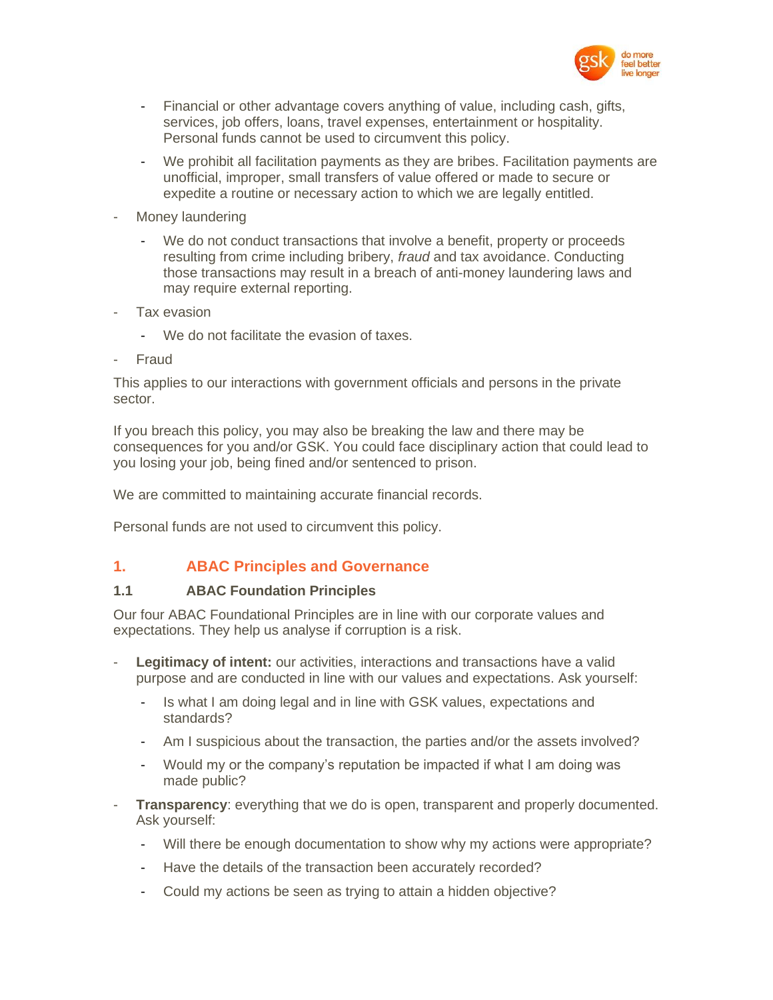

- Financial or other advantage covers anything of value, including cash, gifts, services, job offers, loans, travel expenses, entertainment or hospitality. Personal funds cannot be used to circumvent this policy.
- We prohibit all facilitation payments as they are bribes. Facilitation payments are unofficial, improper, small transfers of value offered or made to secure or expedite a routine or necessary action to which we are legally entitled.
- Money laundering
	- We do not conduct transactions that involve a benefit, property or proceeds resulting from crime including bribery, *fraud* and tax avoidance. Conducting those transactions may result in a breach of anti-money laundering laws and may require external reporting.
- Tax evasion
	- We do not facilitate the evasion of taxes.
- **Fraud**

This applies to our interactions with government officials and persons in the private sector.

If you breach this policy, you may also be breaking the law and there may be consequences for you and/or GSK. You could face disciplinary action that could lead to you losing your job, being fined and/or sentenced to prison.

We are committed to maintaining accurate financial records.

Personal funds are not used to circumvent this policy.

# **1. ABAC Principles and Governance**

#### **1.1 ABAC Foundation Principles**

Our four ABAC Foundational Principles are in line with our corporate values and expectations. They help us analyse if corruption is a risk.

- **Legitimacy of intent:** our activities, interactions and transactions have a valid purpose and are conducted in line with our values and expectations. Ask yourself:
	- Is what I am doing legal and in line with GSK values, expectations and standards?
	- Am I suspicious about the transaction, the parties and/or the assets involved?
	- Would my or the company's reputation be impacted if what I am doing was made public?
- **Transparency:** everything that we do is open, transparent and properly documented. Ask yourself:
	- Will there be enough documentation to show why my actions were appropriate?
	- Have the details of the transaction been accurately recorded?
	- Could my actions be seen as trying to attain a hidden objective?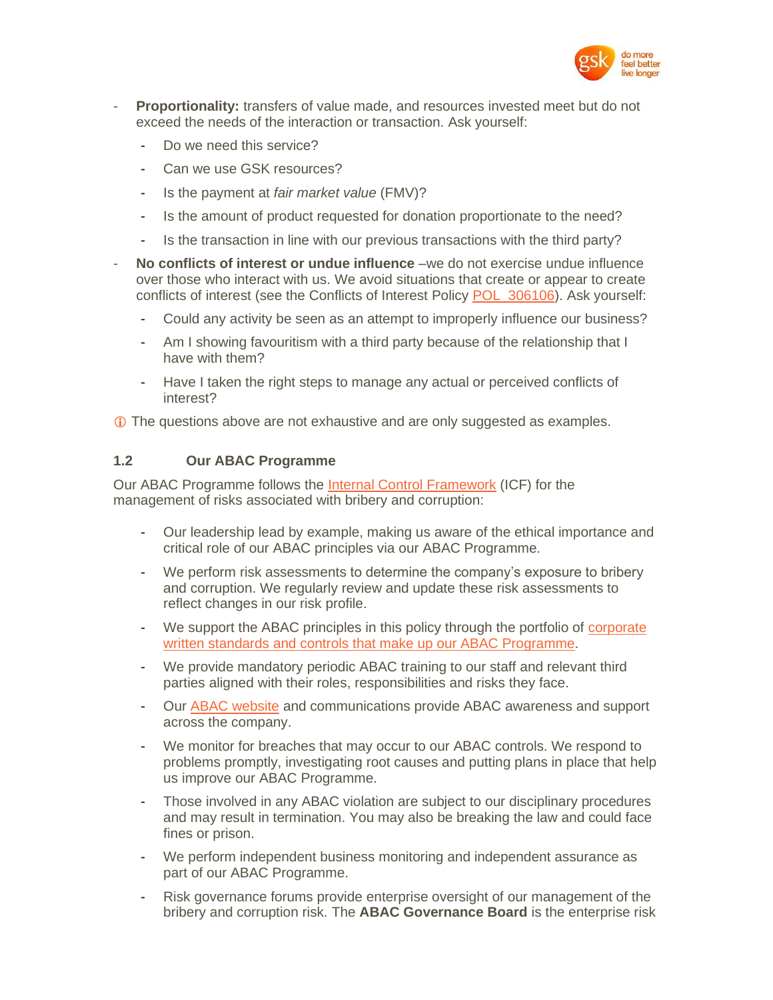

- **Proportionality:** transfers of value made, and resources invested meet but do not exceed the needs of the interaction or transaction. Ask yourself:
	- Do we need this service?
	- Can we use GSK resources?
	- Is the payment at *fair market value* (FMV)?
	- Is the amount of product requested for donation proportionate to the need?
	- Is the transaction in line with our previous transactions with the third party?
- **No conflicts of interest or undue influence** –we do not exercise undue influence over those who interact with us. We avoid situations that create or appear to create conflicts of interest (see the Conflicts of Interest Policy [POL\\_306106\)](https://tinyurl.gsk.com/COIPolicy). Ask yourself:
	- Could any activity be seen as an attempt to improperly influence our business?
	- Am I showing favouritism with a third party because of the relationship that I have with them?
	- Have I taken the right steps to manage any actual or perceived conflicts of interest?

**The questions above are not exhaustive and are only suggested as examples.** 

#### **1.2 Our ABAC Programme**

Our ABAC Programme follows the [Internal Control Framework](https://tinyurl.gsk.com/InternalControlFramework) (ICF) for the management of risks associated with bribery and corruption:

- Our leadership lead by example, making us aware of the ethical importance and critical role of our ABAC principles via our ABAC Programme.
- We perform risk assessments to determine the company's exposure to bribery and corruption. We regularly review and update these risk assessments to reflect changes in our risk profile.
- We support the ABAC principles in this policy through the portfolio of corporate written standards and controls [that make up our ABAC Programme.](https://tinyurl.gsk.com/ABACnetwork)
- We provide mandatory periodic ABAC training to our staff and relevant third parties aligned with their roles, responsibilities and risks they face.
- Our [ABAC website](http://tinyurl.gsk.com/d8a2b3) and communications provide ABAC awareness and support across the company.
- We monitor for breaches that may occur to our ABAC controls. We respond to problems promptly, investigating root causes and putting plans in place that help us improve our ABAC Programme.
- Those involved in any ABAC violation are subject to our disciplinary procedures and may result in termination. You may also be breaking the law and could face fines or prison.
- We perform independent business monitoring and independent assurance as part of our ABAC Programme.
- Risk governance forums provide enterprise oversight of our management of the bribery and corruption risk. The **ABAC Governance Board** is the enterprise risk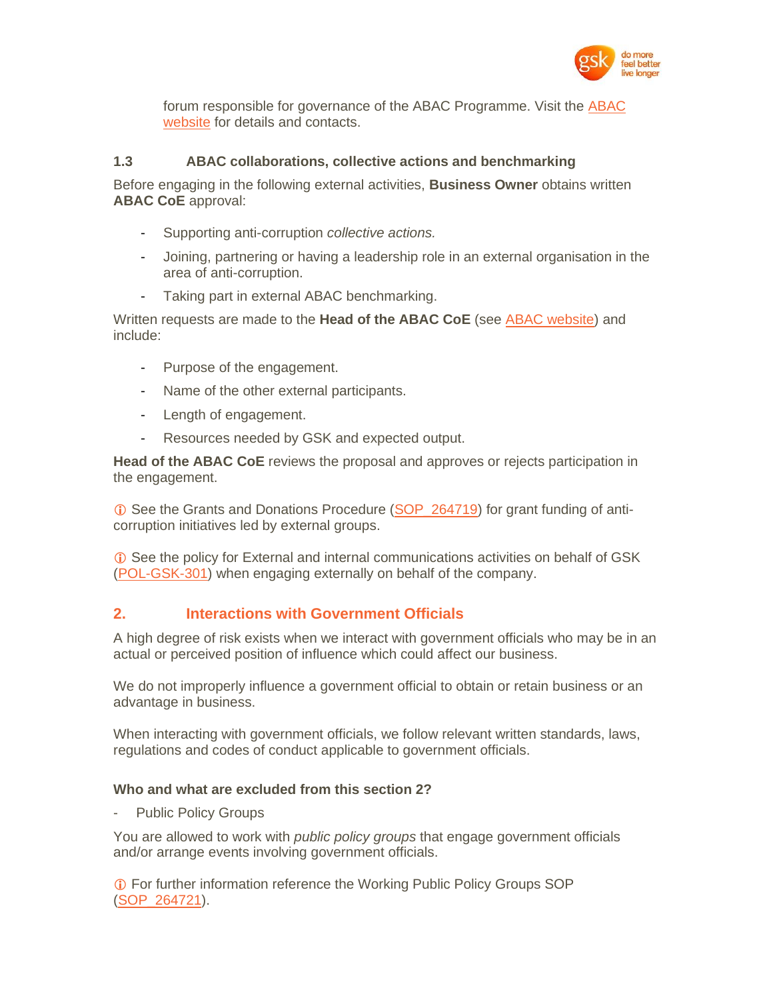

forum responsible for governance of the ABAC Programme. Visit the [ABAC](http://tinyurl.gsk.com/d8a2b3)  [website](http://tinyurl.gsk.com/d8a2b3) for details and contacts.

#### **1.3 ABAC collaborations, collective actions and benchmarking**

Before engaging in the following external activities, **Business Owner** obtains written **ABAC CoE** approval:

- Supporting anti-corruption *collective actions.*
- Joining, partnering or having a leadership role in an external organisation in the area of anti-corruption.
- Taking part in external ABAC benchmarking.

Written requests are made to the **Head of the ABAC CoE** (see [ABAC website\)](http://tinyurl.gsk.com/d8a2b3) and include:

- Purpose of the engagement.
- Name of the other external participants.
- Length of engagement.
- Resources needed by GSK and expected output.

**Head of the ABAC CoE** reviews the proposal and approves or rejects participation in the engagement.

**C** See the Grants and Donations Procedure (SOP 264719) for grant funding of anticorruption initiatives led by external groups.

 See the policy for External and internal communications activities on behalf of GSK [\(POL-GSK-301\)](http://tinyurl.gsk.com/b1e4ab) when engaging externally on behalf of the company.

#### **2. Interactions with Government Officials**

A high degree of risk exists when we interact with government officials who may be in an actual or perceived position of influence which could affect our business.

We do not improperly influence a government official to obtain or retain business or an advantage in business.

When interacting with government officials, we follow relevant written standards, laws, regulations and codes of conduct applicable to government officials.

#### **Who and what are excluded from this section 2?**

Public Policy Groups

You are allowed to work with *public policy groups* that engage government officials and/or arrange events involving government officials.

 For further information reference the Working Public Policy Groups SOP [\(SOP\\_264721\)](http://tinyurl.gsk.com/7d6fd1).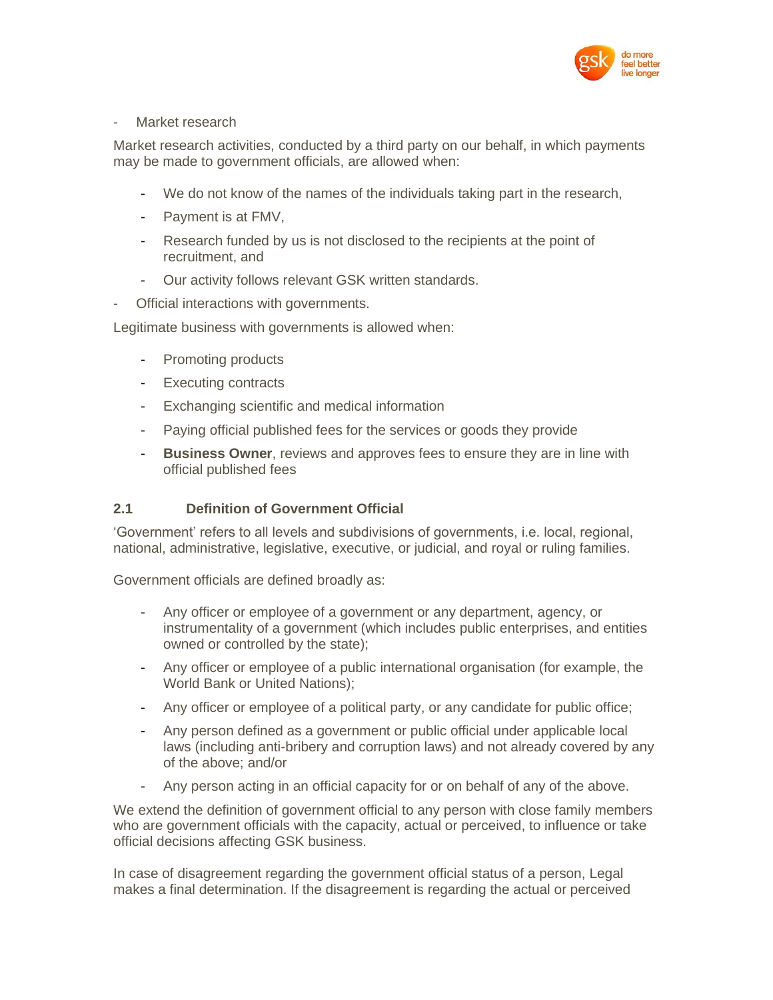

#### Market research

Market research activities, conducted by a third party on our behalf, in which payments may be made to government officials, are allowed when:

- We do not know of the names of the individuals taking part in the research,
- Payment is at FMV,
- Research funded by us is not disclosed to the recipients at the point of recruitment, and
- Our activity follows relevant GSK written standards.
- Official interactions with governments.

Legitimate business with governments is allowed when:

- Promoting products
- Executing contracts
- Exchanging scientific and medical information
- Paying official published fees for the services or goods they provide
- **Business Owner**, reviews and approves fees to ensure they are in line with official published fees

# **2.1 Definition of Government Official**

'Government' refers to all levels and subdivisions of governments, i.e. local, regional, national, administrative, legislative, executive, or judicial, and royal or ruling families.

Government officials are defined broadly as:

- Any officer or employee of a government or any department, agency, or instrumentality of a government (which includes public enterprises, and entities owned or controlled by the state);
- Any officer or employee of a public international organisation (for example, the World Bank or United Nations);
- Any officer or employee of a political party, or any candidate for public office;
- Any person defined as a government or public official under applicable local laws (including anti-bribery and corruption laws) and not already covered by any of the above; and/or
- Any person acting in an official capacity for or on behalf of any of the above.

We extend the definition of government official to any person with close family members who are government officials with the capacity, actual or perceived, to influence or take official decisions affecting GSK business.

In case of disagreement regarding the government official status of a person, Legal makes a final determination. If the disagreement is regarding the actual or perceived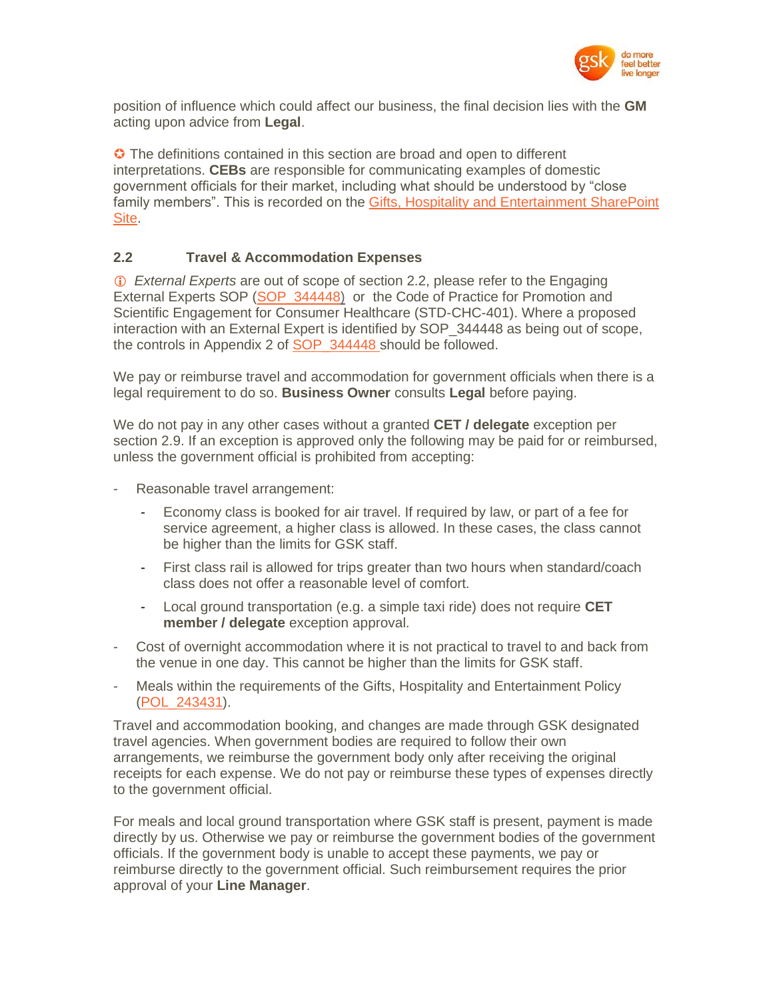

position of influence which could affect our business, the final decision lies with the **GM** acting upon advice from **Legal**.

**C** The definitions contained in this section are broad and open to different interpretations. **CEBs** are responsible for communicating examples of domestic government officials for their market, including what should be understood by "close family members". This is recorded on the [Gifts, Hospitality and Entertainment](https://tinyurl.gsk.com/GHELimits) SharePoint [Site.](https://tinyurl.gsk.com/GHELimits)

#### **2.2 Travel & Accommodation Expenses**

 *External Experts* are out of scope of section 2.2, please refer to the Engaging External Experts SOP (SOP 344448) or the Code of Practice for Promotion and Scientific Engagement for Consumer Healthcare (STD-CHC-401). Where a proposed interaction with an External Expert is identified by SOP 344448 as being out of scope, the controls in Appendix 2 of SOP 344448 should be followed.

We pay or reimburse travel and accommodation for government officials when there is a legal requirement to do so. **Business Owner** consults **Legal** before paying.

We do not pay in any other cases without a granted **CET / delegate** exception per section 2.9. If an exception is approved only the following may be paid for or reimbursed, unless the government official is prohibited from accepting:

- Reasonable travel arrangement:
	- Economy class is booked for air travel. If required by law, or part of a fee for service agreement, a higher class is allowed. In these cases, the class cannot be higher than the limits for GSK staff.
	- First class rail is allowed for trips greater than two hours when standard/coach class does not offer a reasonable level of comfort.
	- Local ground transportation (e.g. a simple taxi ride) does not require **CET member / delegate** exception approval.
- Cost of overnight accommodation where it is not practical to travel to and back from the venue in one day. This cannot be higher than the limits for GSK staff.
- Meals within the requirements of the Gifts, Hospitality and Entertainment Policy [\(POL\\_243431\)](http://tinyurl.gsk.com/756309).

Travel and accommodation booking, and changes are made through GSK designated travel agencies. When government bodies are required to follow their own arrangements, we reimburse the government body only after receiving the original receipts for each expense. We do not pay or reimburse these types of expenses directly to the government official.

For meals and local ground transportation where GSK staff is present, payment is made directly by us. Otherwise we pay or reimburse the government bodies of the government officials. If the government body is unable to accept these payments, we pay or reimburse directly to the government official. Such reimbursement requires the prior approval of your **Line Manager**.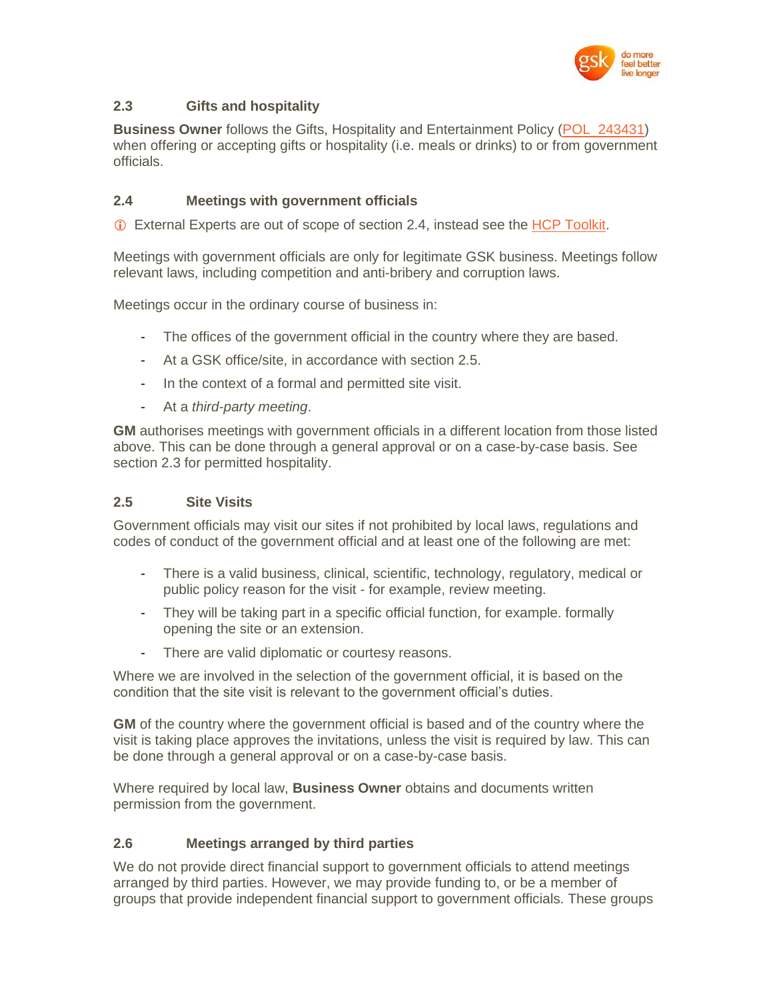

# **2.3 Gifts and hospitality**

**Business Owner** follows the Gifts, Hospitality and Entertainment Policy [\(POL\\_243431\)](http://tinyurl.gsk.com/756309) when offering or accepting gifts or hospitality (i.e. meals or drinks) to or from government officials.

# **2.4 Meetings with government officials**

External Experts are out of scope of section 2.4, instead see the [HCP Toolkit.](https://tinyurl.gsk.com/HCPToolkit)

Meetings with government officials are only for legitimate GSK business. Meetings follow relevant laws, including competition and anti-bribery and corruption laws.

Meetings occur in the ordinary course of business in:

- The offices of the government official in the country where they are based.
- At a GSK office/site, in accordance with section 2.5.
- In the context of a formal and permitted site visit.
- At a *third-party meeting*.

**GM** authorises meetings with government officials in a different location from those listed above. This can be done through a general approval or on a case-by-case basis. See section 2.3 for permitted hospitality.

#### **2.5 Site Visits**

Government officials may visit our sites if not prohibited by local laws, regulations and codes of conduct of the government official and at least one of the following are met:

- There is a valid business, clinical, scientific, technology, regulatory, medical or public policy reason for the visit - for example, review meeting.
- They will be taking part in a specific official function, for example, formally opening the site or an extension.
- There are valid diplomatic or courtesy reasons.

Where we are involved in the selection of the government official, it is based on the condition that the site visit is relevant to the government official's duties.

**GM** of the country where the government official is based and of the country where the visit is taking place approves the invitations, unless the visit is required by law. This can be done through a general approval or on a case-by-case basis.

Where required by local law, **Business Owner** obtains and documents written permission from the government.

# **2.6 Meetings arranged by third parties**

We do not provide direct financial support to government officials to attend meetings arranged by third parties. However, we may provide funding to, or be a member of groups that provide independent financial support to government officials. These groups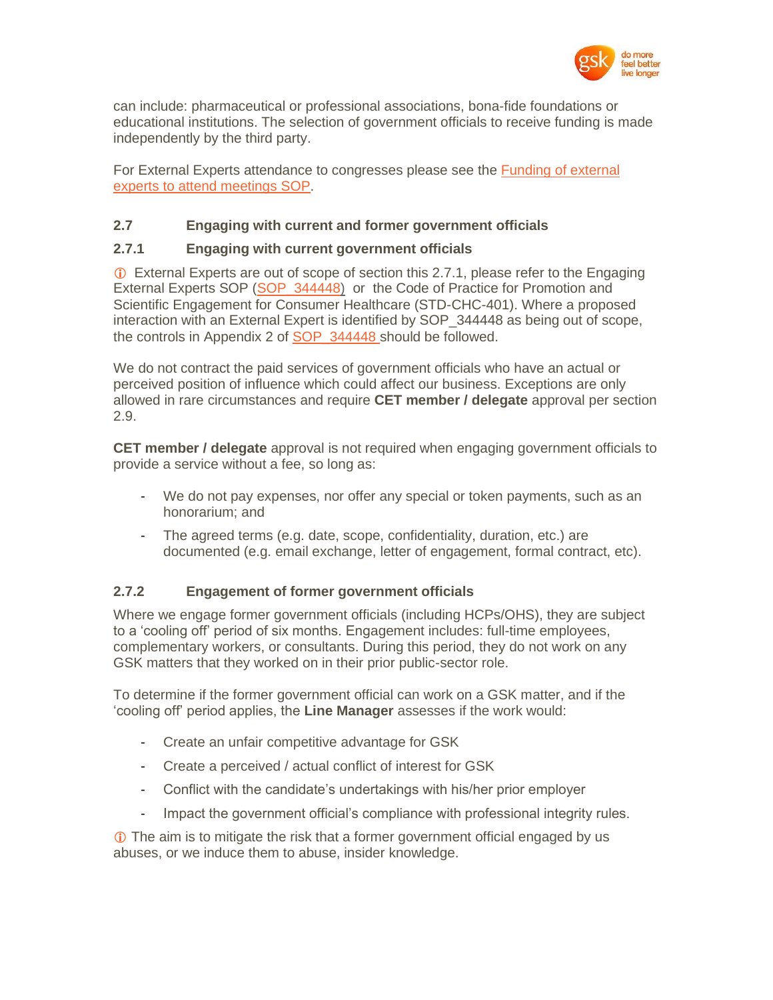

can include: pharmaceutical or professional associations, bona-fide foundations or educational institutions. The selection of government officials to receive funding is made independently by the third party.

For External Experts attendance to congresses please see the **Funding of external** [experts to attend meetings SOP.](https://tinyurl.gsk.com/CongressSOP)

#### **2.7 Engaging with current and former government officials**

#### **2.7.1 Engaging with current government officials**

 External Experts are out of scope of section this 2.7.1, please refer to the Engaging External Experts SOP (SOP 344448) or the Code of Practice for Promotion and Scientific Engagement for Consumer Healthcare (STD-CHC-401). Where a proposed interaction with an External Expert is identified by SOP\_344448 as being out of scope, the controls in Appendix 2 of SOP 344448 should be followed.

We do not contract the paid services of government officials who have an actual or perceived position of influence which could affect our business. Exceptions are only allowed in rare circumstances and require **CET member / delegate** approval per section 2.9.

**CET member / delegate** approval is not required when engaging government officials to provide a service without a fee, so long as:

- We do not pay expenses, nor offer any special or token payments, such as an honorarium; and
- The agreed terms (e.g. date, scope, confidentiality, duration, etc.) are documented (e.g. email exchange, letter of engagement, formal contract, etc).

# **2.7.2 Engagement of former government officials**

Where we engage former government officials (including HCPs/OHS), they are subject to a 'cooling off' period of six months. Engagement includes: full-time employees, complementary workers, or consultants. During this period, they do not work on any GSK matters that they worked on in their prior public-sector role.

To determine if the former government official can work on a GSK matter, and if the 'cooling off' period applies, the **Line Manager** assesses if the work would:

- Create an unfair competitive advantage for GSK
- Create a perceived / actual conflict of interest for GSK
- Conflict with the candidate's undertakings with his/her prior employer
- Impact the government official's compliance with professional integrity rules.

 The aim is to mitigate the risk that a former government official engaged by us abuses, or we induce them to abuse, insider knowledge.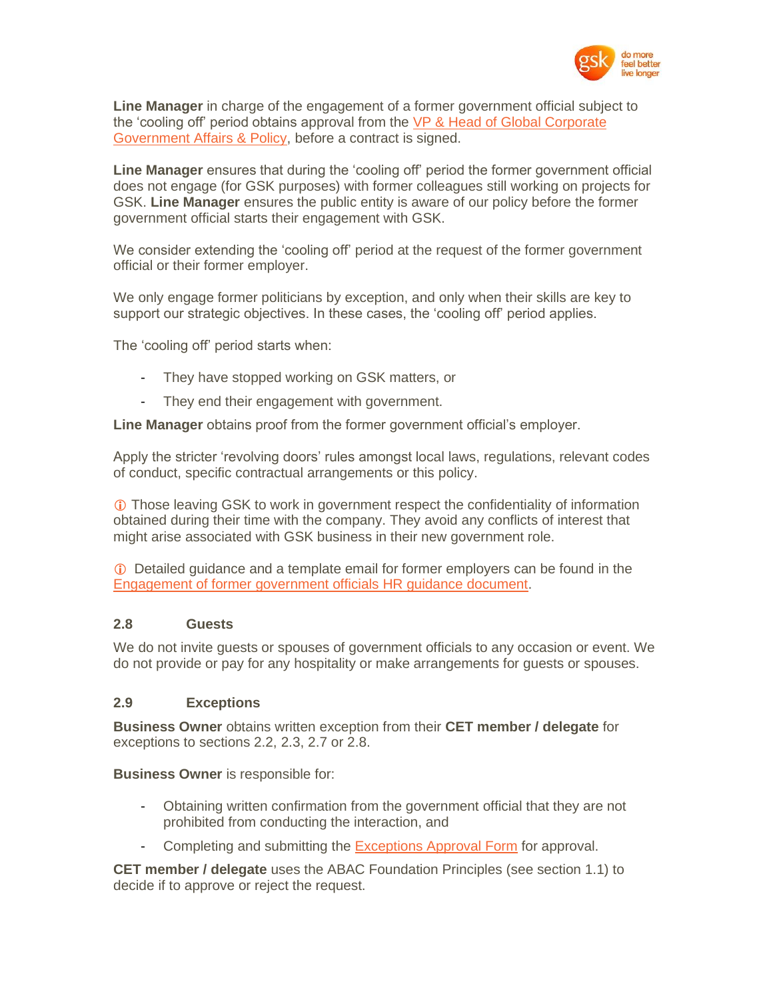

**Line Manager** in charge of the engagement of a former government official subject to the 'cooling off' period obtains approval from the [VP & Head of Global Corporate](http://tinyurl.gsk.com/8852ae)  [Government Affairs & Policy,](http://tinyurl.gsk.com/8852ae) before a contract is signed.

**Line Manager** ensures that during the 'cooling off' period the former government official does not engage (for GSK purposes) with former colleagues still working on projects for GSK. **Line Manager** ensures the public entity is aware of our policy before the former government official starts their engagement with GSK.

We consider extending the 'cooling off' period at the request of the former government official or their former employer.

We only engage former politicians by exception, and only when their skills are key to support our strategic objectives. In these cases, the 'cooling off' period applies.

The 'cooling off' period starts when:

- They have stopped working on GSK matters, or
- They end their engagement with government.

**Line Manager** obtains proof from the former government official's employer.

Apply the stricter 'revolving doors' rules amongst local laws, regulations, relevant codes of conduct, specific contractual arrangements or this policy.

 Those leaving GSK to work in government respect the confidentiality of information obtained during their time with the company. They avoid any conflicts of interest that might arise associated with GSK business in their new government role.

 Detailed guidance and a template email for former employers can be found in the [Engagement of former government officials HR guidance document.](https://tinyurl.gsk.com/HRRevolvingDoor)

#### **2.8 Guests**

We do not invite guests or spouses of government officials to any occasion or event. We do not provide or pay for any hospitality or make arrangements for guests or spouses.

#### **2.9 Exceptions**

**Business Owner** obtains written exception from their **CET member / delegate** for exceptions to sections 2.2, 2.3, 2.7 or 2.8.

**Business Owner** is responsible for:

- Obtaining written confirmation from the government official that they are not prohibited from conducting the interaction, and
- Completing and submitting the **Exceptions Approval Form for approval.**

**CET member / delegate** uses the ABAC Foundation Principles (see section 1.1) to decide if to approve or reject the request.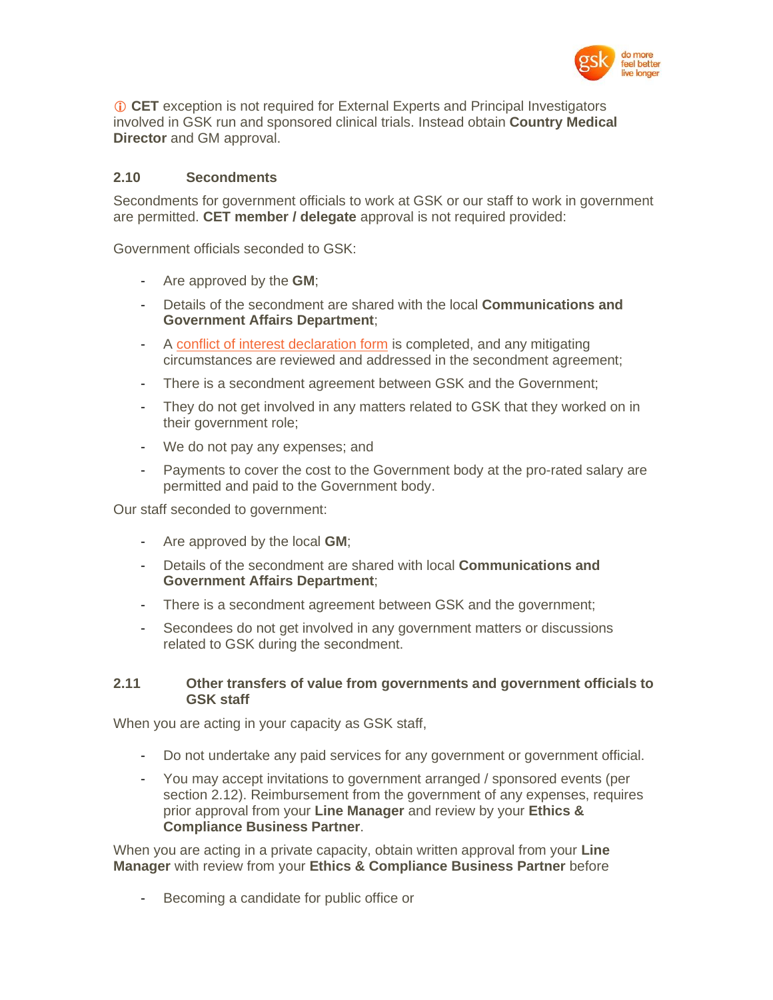

 **CET** exception is not required for External Experts and Principal Investigators involved in GSK run and sponsored clinical trials. Instead obtain **Country Medical Director** and GM approval.

#### **2.10 Secondments**

Secondments for government officials to work at GSK or our staff to work in government are permitted. **CET member / delegate** approval is not required provided:

Government officials seconded to GSK:

- Are approved by the **GM**;
- Details of the secondment are shared with the local **Communications and Government Affairs Department**;
- A [conflict of interest declaration form](https://tinyurl.gsk.com/DeclareCOI) is completed, and any mitigating circumstances are reviewed and addressed in the secondment agreement;
- There is a secondment agreement between GSK and the Government;
- They do not get involved in any matters related to GSK that they worked on in their government role;
- We do not pay any expenses; and
- Payments to cover the cost to the Government body at the pro-rated salary are permitted and paid to the Government body.

Our staff seconded to government:

- Are approved by the local **GM**;
- Details of the secondment are shared with local **Communications and Government Affairs Department**;
- There is a secondment agreement between GSK and the government;
- Secondees do not get involved in any government matters or discussions related to GSK during the secondment.

#### **2.11 Other transfers of value from governments and government officials to GSK staff**

When you are acting in your capacity as GSK staff,

- Do not undertake any paid services for any government or government official.
- You may accept invitations to government arranged / sponsored events (per section 2.12). Reimbursement from the government of any expenses, requires prior approval from your **Line Manager** and review by your **Ethics & Compliance Business Partner**.

When you are acting in a private capacity, obtain written approval from your **Line Manager** with review from your **Ethics & Compliance Business Partner** before

Becoming a candidate for public office or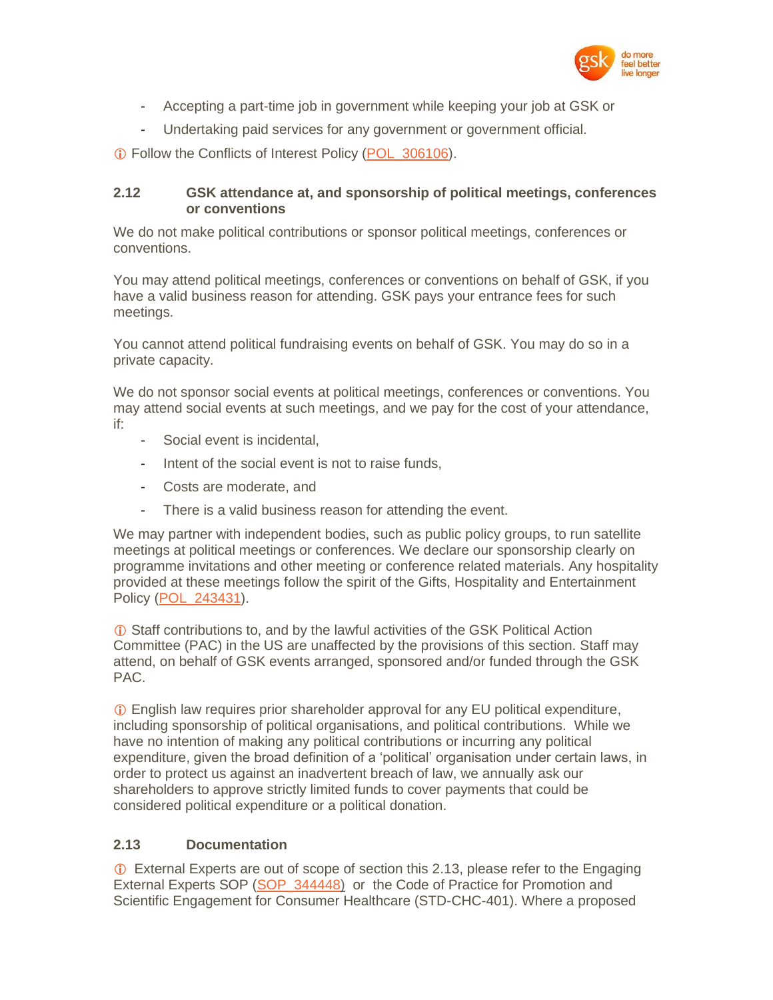

- Accepting a part-time job in government while keeping your job at GSK or
- Undertaking paid services for any government or government official.

Follow the Conflicts of Interest Policy [\(POL\\_306106\)](https://tinyurl.gsk.com/COIPolicy).

#### **2.12 GSK attendance at, and sponsorship of political meetings, conferences or conventions**

We do not make political contributions or sponsor political meetings, conferences or conventions.

You may attend political meetings, conferences or conventions on behalf of GSK, if you have a valid business reason for attending. GSK pays your entrance fees for such meetings.

You cannot attend political fundraising events on behalf of GSK. You may do so in a private capacity.

We do not sponsor social events at political meetings, conferences or conventions. You may attend social events at such meetings, and we pay for the cost of your attendance, if:

- Social event is incidental.
- Intent of the social event is not to raise funds,
- Costs are moderate, and
- There is a valid business reason for attending the event.

We may partner with independent bodies, such as public policy groups, to run satellite meetings at political meetings or conferences. We declare our sponsorship clearly on programme invitations and other meeting or conference related materials. Any hospitality provided at these meetings follow the spirit of the Gifts, Hospitality and Entertainment Policy [\(POL\\_243431\)](http://tinyurl.gsk.com/756309).

 Staff contributions to, and by the lawful activities of the GSK Political Action Committee (PAC) in the US are unaffected by the provisions of this section. Staff may attend, on behalf of GSK events arranged, sponsored and/or funded through the GSK PAC.

 English law requires prior shareholder approval for any EU political expenditure, including sponsorship of political organisations, and political contributions. While we have no intention of making any political contributions or incurring any political expenditure, given the broad definition of a 'political' organisation under certain laws, in order to protect us against an inadvertent breach of law, we annually ask our shareholders to approve strictly limited funds to cover payments that could be considered political expenditure or a political donation.

# **2.13 Documentation**

 External Experts are out of scope of section this 2.13, please refer to the Engaging External Experts SOP (SOP 344448) or the Code of Practice for Promotion and Scientific Engagement for Consumer Healthcare (STD-CHC-401). Where a proposed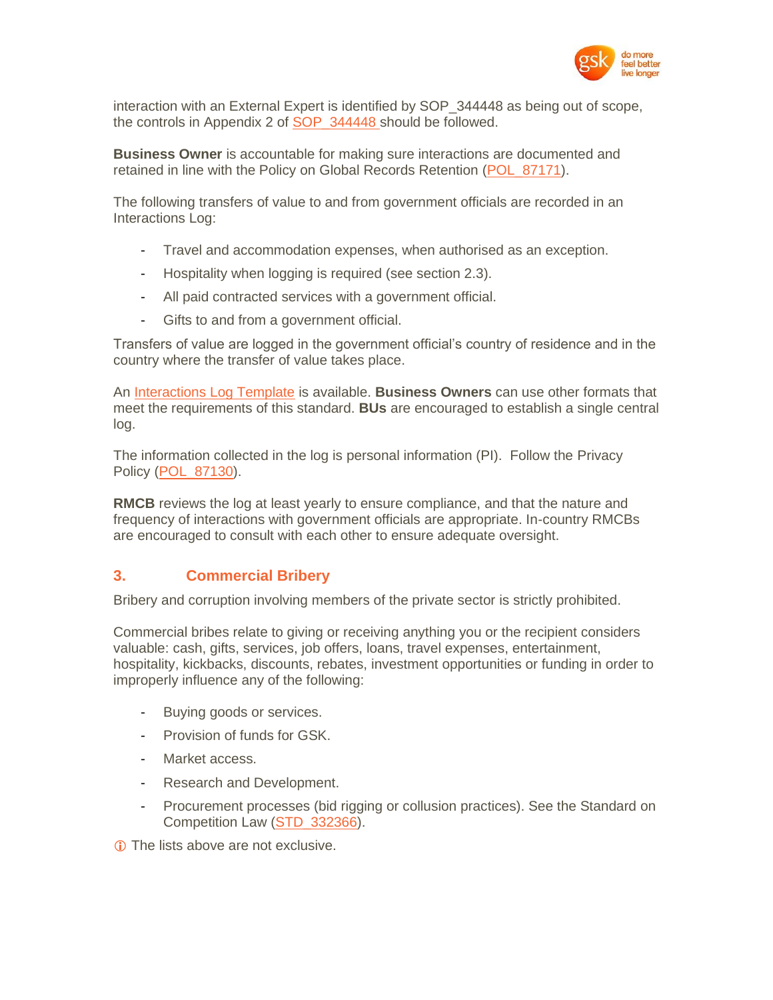

interaction with an External Expert is identified by SOP\_344448 as being out of scope, the controls in Appendix 2 of SOP 344448 should be followed.

**Business Owner** is accountable for making sure interactions are documented and retained in line with the Policy on Global Records Retention [\(POL\\_87171\)](http://tinyurl.gsk.com/593b8b).

The following transfers of value to and from government officials are recorded in an Interactions Log:

- Travel and accommodation expenses, when authorised as an exception.
- Hospitality when logging is required (see section 2.3).
- All paid contracted services with a government official.
- Gifts to and from a government official.

Transfers of value are logged in the government official's country of residence and in the country where the transfer of value takes place.

An [Interactions Log Template](http://tinyurl.gsk.com/92855) is available. **Business Owners** can use other formats that meet the requirements of this standard. **BUs** are encouraged to establish a single central log.

The information collected in the log is personal information (PI). Follow the Privacy Policy [\(POL\\_87130\)](http://tinyurl.gsk.com/privacy-policy).

**RMCB** reviews the log at least yearly to ensure compliance, and that the nature and frequency of interactions with government officials are appropriate. In-country RMCBs are encouraged to consult with each other to ensure adequate oversight.

# **3. Commercial Bribery**

Bribery and corruption involving members of the private sector is strictly prohibited.

Commercial bribes relate to giving or receiving anything you or the recipient considers valuable: cash, gifts, services, job offers, loans, travel expenses, entertainment, hospitality, kickbacks, discounts, rebates, investment opportunities or funding in order to improperly influence any of the following:

- Buying goods or services.
- Provision of funds for GSK.
- Market access.
- Research and Development.
- Procurement processes (bid rigging or collusion practices). See the Standard on Competition Law [\(STD\\_332366\)](http://tinyurl.gsk.com/e237df).

The lists above are not exclusive.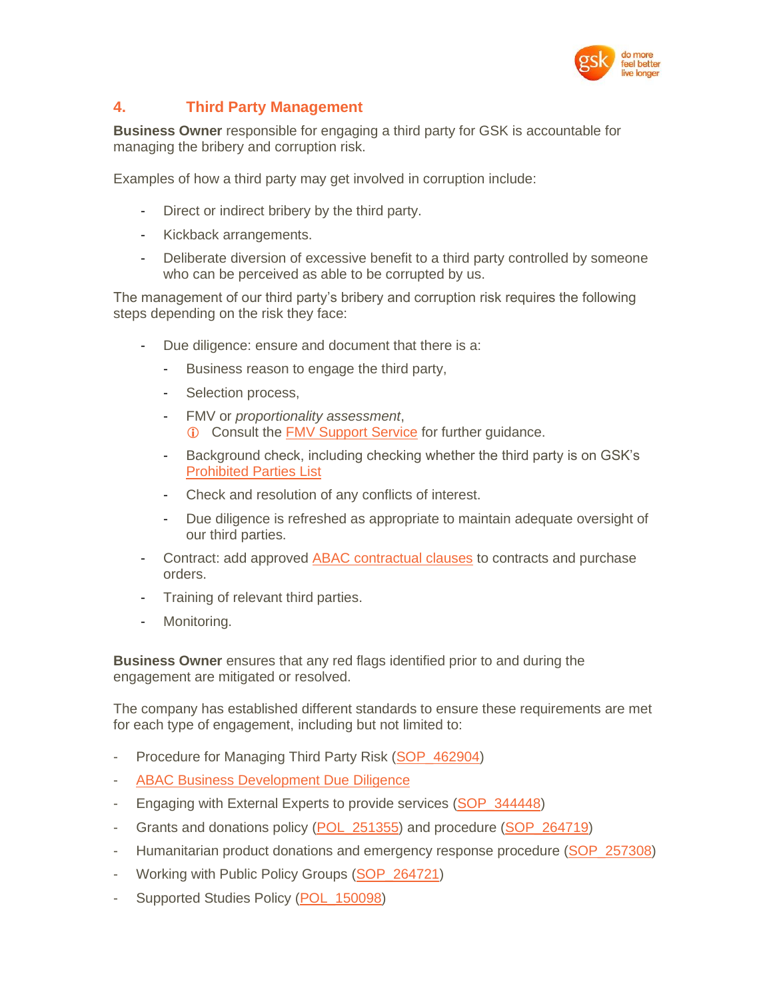

# **4. Third Party Management**

**Business Owner** responsible for engaging a third party for GSK is accountable for managing the bribery and corruption risk.

Examples of how a third party may get involved in corruption include:

- Direct or indirect bribery by the third party.
- Kickback arrangements.
- Deliberate diversion of excessive benefit to a third party controlled by someone who can be perceived as able to be corrupted by us.

The management of our third party's bribery and corruption risk requires the following steps depending on the risk they face:

- Due diligence: ensure and document that there is a:
	- Business reason to engage the third party,
	- Selection process,
	- FMV or *proportionality assessment*, Consult the [FMV Support Service](http://tinyurl.gsk.com/7ec34b) for further guidance.
	- Background check, including checking whether the third party is on GSK's [Prohibited Parties List](http://tinyurl.gsk.com/73c82a)
	- Check and resolution of any conflicts of interest.
	- Due diligence is refreshed as appropriate to maintain adequate oversight of our third parties.
- Contract: add approved [ABAC contractual clauses](http://tinyurl.gsk.com/58812e) to contracts and purchase orders.
- Training of relevant third parties.
- Monitoring.

**Business Owner** ensures that any red flags identified prior to and during the engagement are mitigated or resolved.

The company has established different standards to ensure these requirements are met for each type of engagement, including but not limited to:

- [Procedure](https://connect.gsk.com/sites/gea/Pages/TPO-risk-management-programme.aspx) for Managing Third Party Risk (SOP 462904)
- [ABAC Business Development Due Diligence](http://tinyurl.gsk.com/97d634)
- Engaging with External Experts to provide services [\(SOP\\_344448\)](http://tinyurl.gsk.com/89c8be)
- Grants and donations policy [\(POL\\_251355\)](http://tinyurl.gsk.com/1e5bf5) and procedure [\(SOP\\_264719\)](http://tinyurl.gsk.com/cb01dd)
- Humanitarian product donations and emergency response procedure (SOP 257308)
- Working with Public Policy Groups [\(SOP\\_264721\)](http://tinyurl.gsk.com/7d6fd1)
- Supported Studies Policy (POL 150098)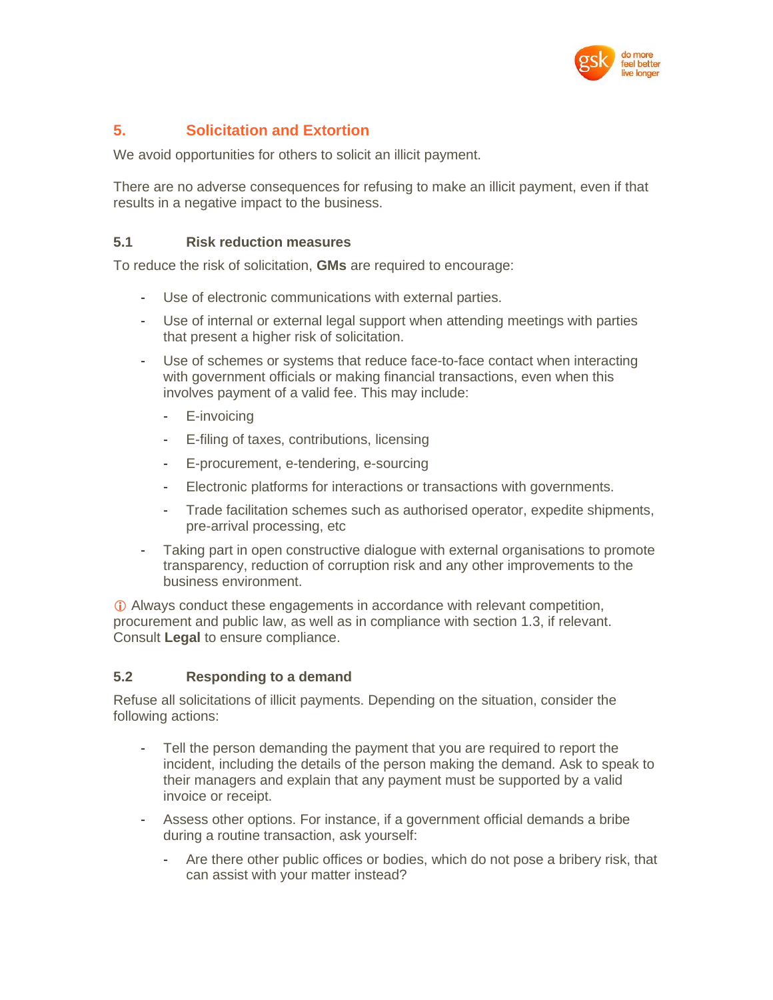

# **5. Solicitation and Extortion**

We avoid opportunities for others to solicit an illicit payment.

There are no adverse consequences for refusing to make an illicit payment, even if that results in a negative impact to the business.

#### **5.1 Risk reduction measures**

To reduce the risk of solicitation, **GMs** are required to encourage:

- Use of electronic communications with external parties.
- Use of internal or external legal support when attending meetings with parties that present a higher risk of solicitation.
- Use of schemes or systems that reduce face-to-face contact when interacting with government officials or making financial transactions, even when this involves payment of a valid fee. This may include:
	- E-invoicing
	- E-filing of taxes, contributions, licensing
	- E-procurement, e-tendering, e-sourcing
	- Electronic platforms for interactions or transactions with governments.
	- Trade facilitation schemes such as authorised operator, expedite shipments, pre-arrival processing, etc
- Taking part in open constructive dialogue with external organisations to promote transparency, reduction of corruption risk and any other improvements to the business environment.

 Always conduct these engagements in accordance with relevant competition, procurement and public law, as well as in compliance with section 1.3, if relevant. Consult **Legal** to ensure compliance.

# **5.2 Responding to a demand**

Refuse all solicitations of illicit payments. Depending on the situation, consider the following actions:

- Tell the person demanding the payment that you are required to report the incident, including the details of the person making the demand. Ask to speak to their managers and explain that any payment must be supported by a valid invoice or receipt.
- Assess other options. For instance, if a government official demands a bribe during a routine transaction, ask yourself:
	- Are there other public offices or bodies, which do not pose a bribery risk, that can assist with your matter instead?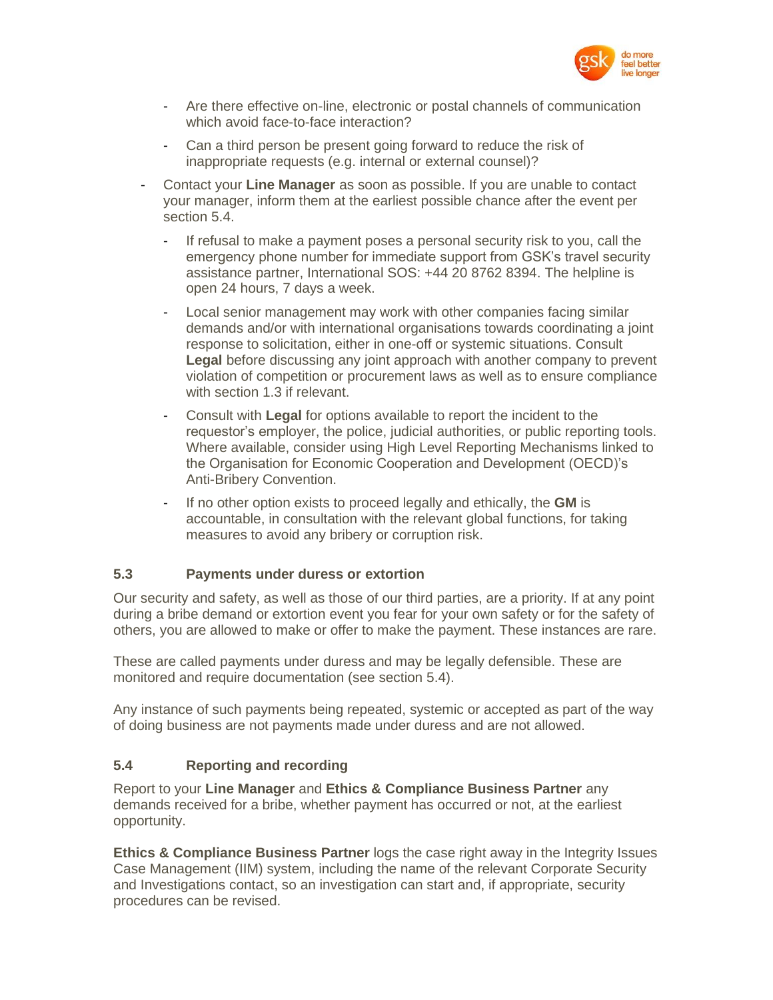

- Are there effective on-line, electronic or postal channels of communication which avoid face-to-face interaction?
- Can a third person be present going forward to reduce the risk of inappropriate requests (e.g. internal or external counsel)?
- Contact your **Line Manager** as soon as possible. If you are unable to contact your manager, inform them at the earliest possible chance after the event per section 5.4.
	- If refusal to make a payment poses a personal security risk to you, call the emergency phone number for immediate support from GSK's travel security assistance partner, International SOS: +44 20 8762 8394. The helpline is open 24 hours, 7 days a week.
	- Local senior management may work with other companies facing similar demands and/or with international organisations towards coordinating a joint response to solicitation, either in one-off or systemic situations. Consult **Legal** before discussing any joint approach with another company to prevent violation of competition or procurement laws as well as to ensure compliance with section 1.3 if relevant.
	- Consult with **Legal** for options available to report the incident to the requestor's employer, the police, judicial authorities, or public reporting tools. Where available, consider using High Level Reporting Mechanisms linked to the Organisation for Economic Cooperation and Development (OECD)'s Anti-Bribery Convention.
	- If no other option exists to proceed legally and ethically, the **GM** is accountable, in consultation with the relevant global functions, for taking measures to avoid any bribery or corruption risk.

#### **5.3 Payments under duress or extortion**

Our security and safety, as well as those of our third parties, are a priority. If at any point during a bribe demand or extortion event you fear for your own safety or for the safety of others, you are allowed to make or offer to make the payment. These instances are rare.

These are called payments under duress and may be legally defensible. These are monitored and require documentation (see section 5.4).

Any instance of such payments being repeated, systemic or accepted as part of the way of doing business are not payments made under duress and are not allowed.

# **5.4 Reporting and recording**

Report to your **Line Manager** and **Ethics & Compliance Business Partner** any demands received for a bribe, whether payment has occurred or not, at the earliest opportunity.

**Ethics & Compliance Business Partner** logs the case right away in the Integrity Issues Case Management (IIM) system, including the name of the relevant Corporate Security and Investigations contact, so an investigation can start and, if appropriate, security procedures can be revised.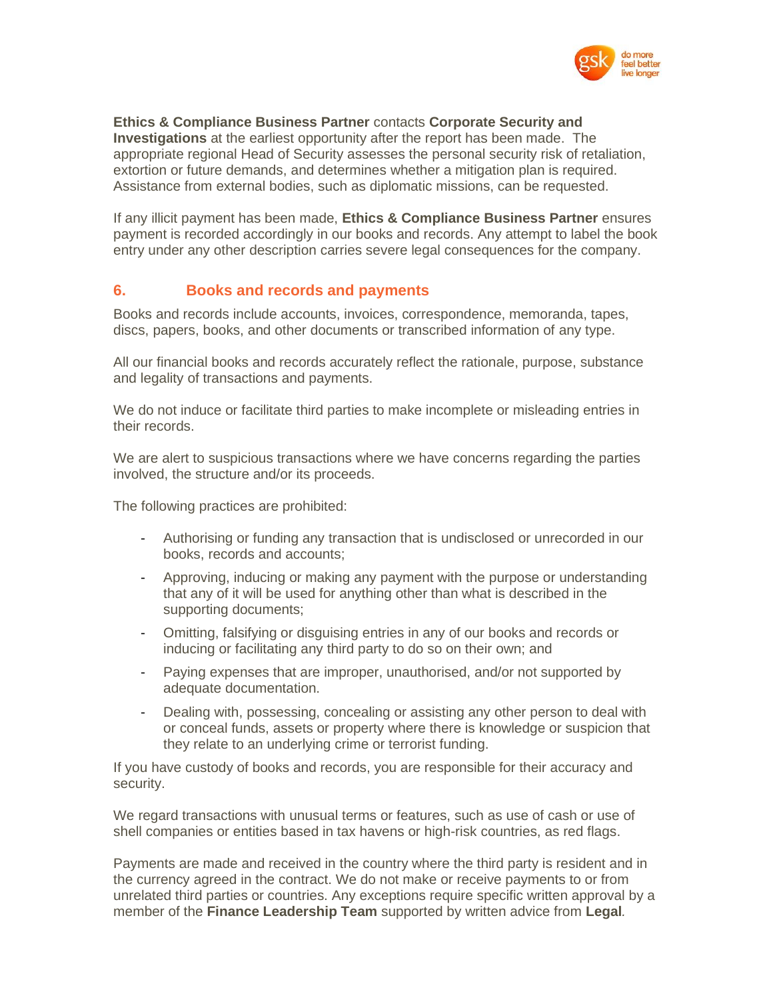

#### **Ethics & Compliance Business Partner** contacts **Corporate Security and**

**Investigations** at the earliest opportunity after the report has been made. The appropriate regional Head of Security assesses the personal security risk of retaliation, extortion or future demands, and determines whether a mitigation plan is required. Assistance from external bodies, such as diplomatic missions, can be requested.

If any illicit payment has been made, **Ethics & Compliance Business Partner** ensures payment is recorded accordingly in our books and records. Any attempt to label the book entry under any other description carries severe legal consequences for the company.

# **6. Books and records and payments**

Books and records include accounts, invoices, correspondence, memoranda, tapes, discs, papers, books, and other documents or transcribed information of any type.

All our financial books and records accurately reflect the rationale, purpose, substance and legality of transactions and payments.

We do not induce or facilitate third parties to make incomplete or misleading entries in their records.

We are alert to suspicious transactions where we have concerns regarding the parties involved, the structure and/or its proceeds.

The following practices are prohibited:

- Authorising or funding any transaction that is undisclosed or unrecorded in our books, records and accounts;
- Approving, inducing or making any payment with the purpose or understanding that any of it will be used for anything other than what is described in the supporting documents;
- Omitting, falsifying or disguising entries in any of our books and records or inducing or facilitating any third party to do so on their own; and
- Paying expenses that are improper, unauthorised, and/or not supported by adequate documentation.
- Dealing with, possessing, concealing or assisting any other person to deal with or conceal funds, assets or property where there is knowledge or suspicion that they relate to an underlying crime or terrorist funding.

If you have custody of books and records, you are responsible for their accuracy and security.

We regard transactions with unusual terms or features, such as use of cash or use of shell companies or entities based in tax havens or high-risk countries, as red flags.

Payments are made and received in the country where the third party is resident and in the currency agreed in the contract. We do not make or receive payments to or from unrelated third parties or countries. Any exceptions require specific written approval by a member of the **Finance Leadership Team** supported by written advice from **Legal***.*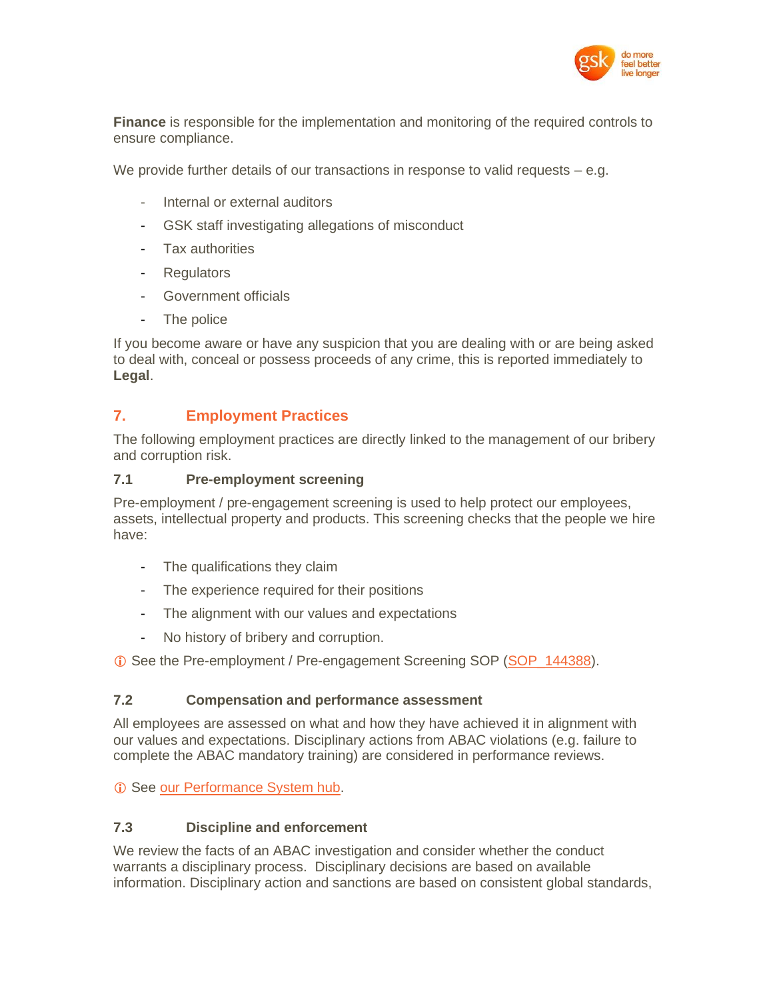

**Finance** is responsible for the implementation and monitoring of the required controls to ensure compliance.

We provide further details of our transactions in response to valid requests  $-$  e.g.

- Internal or external auditors
- GSK staff investigating allegations of misconduct
- Tax authorities
- Regulators
- Government officials
- The police

If you become aware or have any suspicion that you are dealing with or are being asked to deal with, conceal or possess proceeds of any crime, this is reported immediately to **Legal**.

# **7. Employment Practices**

The following employment practices are directly linked to the management of our bribery and corruption risk.

#### **7.1 Pre-employment screening**

Pre-employment / pre-engagement screening is used to help protect our employees, assets, intellectual property and products. This screening checks that the people we hire have:

- The qualifications they claim
- The experience required for their positions
- The alignment with our values and expectations
- No history of bribery and corruption.

See the Pre-employment / Pre-engagement Screening SOP [\(SOP\\_144388\)](http://tinyurl.gsk.com/604286).

#### **7.2 Compensation and performance assessment**

All employees are assessed on what and how they have achieved it in alignment with our values and expectations. Disciplinary actions from ABAC violations (e.g. failure to complete the ABAC mandatory training) are considered in performance reviews.

*C* See [our Performance System hub.](http://tinyurl.gsk.com/eb3697)

# **7.3 Discipline and enforcement**

We review the facts of an ABAC investigation and consider whether the conduct warrants a disciplinary process. Disciplinary decisions are based on available information. Disciplinary action and sanctions are based on consistent global standards,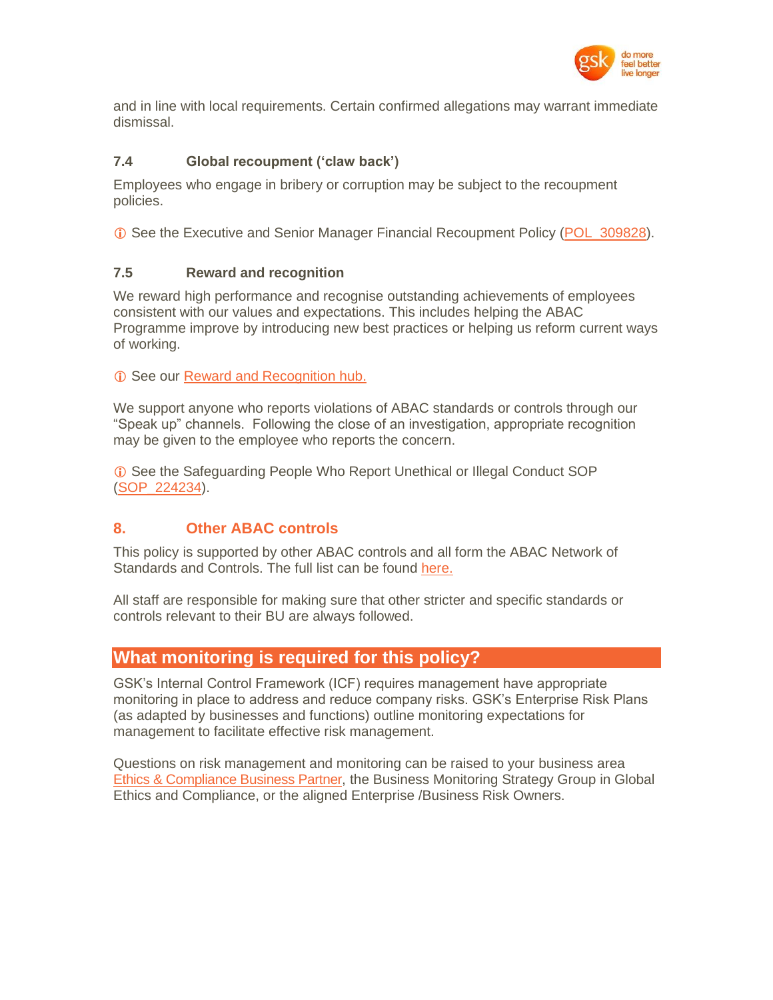

and in line with local requirements. Certain confirmed allegations may warrant immediate dismissal.

# **7.4 Global recoupment ('claw back')**

Employees who engage in bribery or corruption may be subject to the recoupment policies.

See the Executive and Senior Manager Financial Recoupment Policy [\(POL\\_309828\)](http://tinyurl.gsk.com/ed2a3d).

#### **7.5 Reward and recognition**

We reward high performance and recognise outstanding achievements of employees consistent with our values and expectations. This includes helping the ABAC Programme improve by introducing new best practices or helping us reform current ways of working.

**C** See our [Reward and Recognition hub.](http://tinyurl.gsk.com/c9b980)

We support anyone who reports violations of ABAC standards or controls through our "Speak up" channels. Following the close of an investigation, appropriate recognition may be given to the employee who reports the concern.

 See the Safeguarding People Who Report Unethical or Illegal Conduct SOP [\(SOP\\_224234\)](http://tinyurl.gsk.com/18bdbb).

# **8. Other ABAC controls**

This policy is supported by other ABAC controls and all form the ABAC Network of Standards and Controls. The full list can be found [here.](http://tinyurl.gsk.com/e5dd63)

All staff are responsible for making sure that other stricter and specific standards or controls relevant to their BU are always followed.

# **What monitoring is required for this policy?**

GSK's Internal Control Framework (ICF) requires management have appropriate monitoring in place to address and reduce company risks. GSK's Enterprise Risk Plans (as adapted by businesses and functions) outline monitoring expectations for management to facilitate effective risk management.

Questions on risk management and monitoring can be raised to your business area [Ethics & Compliance Business Partner,](http://tinyurl.gsk.com/4c54ce) the Business Monitoring Strategy Group in Global Ethics and Compliance, or the aligned Enterprise /Business Risk Owners.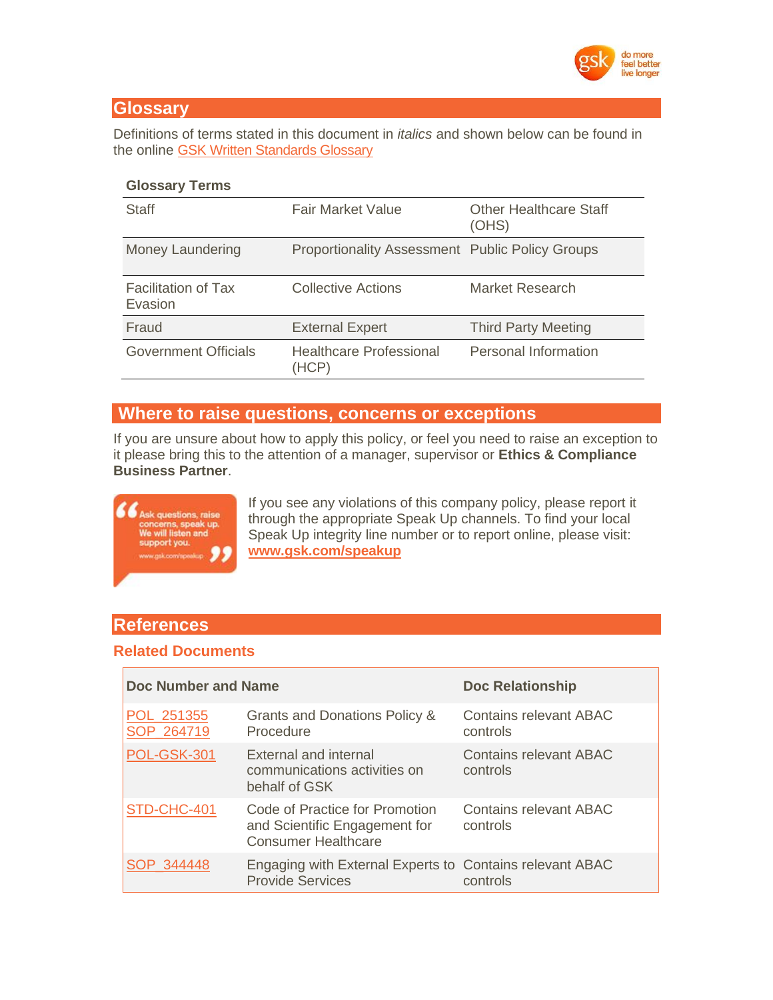

# **Glossary**

Definitions of terms stated in this document in *italics* and shown below can be found in the online [GSK Written Standards Glossary](https://tinyurl.gsk.com/WSGlossary)

#### **Glossary Terms**

| Staff                                 | <b>Fair Market Value</b>                               | <b>Other Healthcare Staff</b><br>(OHS) |
|---------------------------------------|--------------------------------------------------------|----------------------------------------|
| <b>Money Laundering</b>               | <b>Proportionality Assessment Public Policy Groups</b> |                                        |
| <b>Facilitation of Tax</b><br>Evasion | Collective Actions                                     | Market Research                        |
| Fraud                                 | <b>External Expert</b>                                 | <b>Third Party Meeting</b>             |
| <b>Government Officials</b>           | <b>Healthcare Professional</b><br>(HCP)                | Personal Information                   |

# **Where to raise questions, concerns or exceptions**

If you are unsure about how to apply this policy, or feel you need to raise an exception to it please bring this to the attention of a manager, supervisor or **Ethics & Compliance Business Partner**.



If you see any violations of this company policy, please report it through the appropriate Speak Up channels. To find your local Speak Up integrity line number or to report online, please visit: **[www.gsk.com/speakup](http://www.gsk.com/speakup)**

# **References**

# **Related Documents**

| <b>Doc Number and Name</b> |                                                                                               | <b>Doc Relationship</b>            |
|----------------------------|-----------------------------------------------------------------------------------------------|------------------------------------|
| POL_251355<br>SOP 264719   | Grants and Donations Policy &<br>Procedure                                                    | Contains relevant ABAC<br>controls |
| <b>POL-GSK-301</b>         | External and internal<br>communications activities on<br>behalf of GSK                        | Contains relevant ABAC<br>controls |
| STD-CHC-401                | Code of Practice for Promotion<br>and Scientific Engagement for<br><b>Consumer Healthcare</b> | Contains relevant ABAC<br>controls |
| SOP 344448                 | Engaging with External Experts to Contains relevant ABAC<br><b>Provide Services</b>           | controls                           |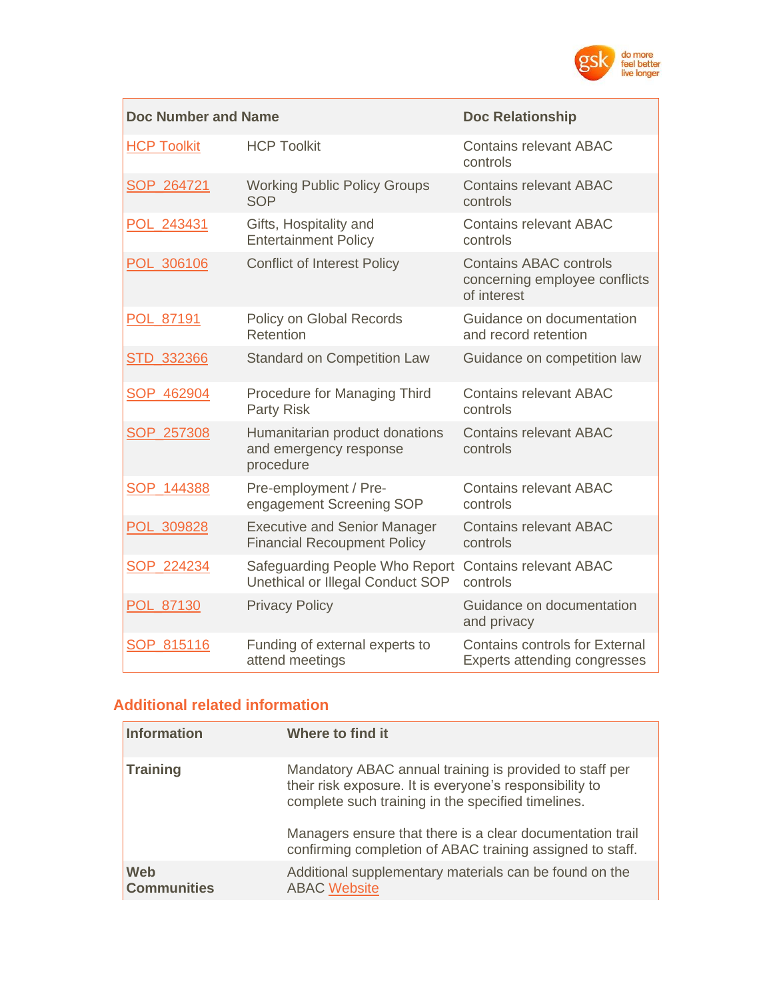

| <b>Doc Number and Name</b> | <b>Doc Relationship</b>                                                   |                                                                               |
|----------------------------|---------------------------------------------------------------------------|-------------------------------------------------------------------------------|
| <b>HCP Toolkit</b>         | <b>HCP Toolkit</b>                                                        | <b>Contains relevant ABAC</b><br>controls                                     |
| SOP_264721                 | <b>Working Public Policy Groups</b><br><b>SOP</b>                         | <b>Contains relevant ABAC</b><br>controls                                     |
| POL 243431                 | Gifts, Hospitality and<br><b>Entertainment Policy</b>                     | <b>Contains relevant ABAC</b><br>controls                                     |
| POL_306106                 | <b>Conflict of Interest Policy</b>                                        | <b>Contains ABAC controls</b><br>concerning employee conflicts<br>of interest |
| POL_87191                  | Policy on Global Records<br>Retention                                     | Guidance on documentation<br>and record retention                             |
| STD_332366                 | <b>Standard on Competition Law</b>                                        | Guidance on competition law                                                   |
| SOP_462904                 | <b>Procedure for Managing Third</b><br><b>Party Risk</b>                  | <b>Contains relevant ABAC</b><br>controls                                     |
| SOP_257308                 | Humanitarian product donations<br>and emergency response<br>procedure     | <b>Contains relevant ABAC</b><br>controls                                     |
| SOP 144388                 | Pre-employment / Pre-<br>engagement Screening SOP                         | <b>Contains relevant ABAC</b><br>controls                                     |
| POL_309828                 | <b>Executive and Senior Manager</b><br><b>Financial Recoupment Policy</b> | <b>Contains relevant ABAC</b><br>controls                                     |
| SOP 224234                 | Safeguarding People Who Report<br>Unethical or Illegal Conduct SOP        | <b>Contains relevant ABAC</b><br>controls                                     |
| POL_87130                  | <b>Privacy Policy</b>                                                     | Guidance on documentation<br>and privacy                                      |
| SOP 815116                 | Funding of external experts to<br>attend meetings                         | <b>Contains controls for External</b><br>Experts attending congresses         |

# **Additional related information**

| <b>Information</b>               | Where to find it                                                                                                                                                         |
|----------------------------------|--------------------------------------------------------------------------------------------------------------------------------------------------------------------------|
| <b>Training</b>                  | Mandatory ABAC annual training is provided to staff per<br>their risk exposure. It is everyone's responsibility to<br>complete such training in the specified timelines. |
|                                  | Managers ensure that there is a clear documentation trail<br>confirming completion of ABAC training assigned to staff.                                                   |
| <b>Web</b><br><b>Communities</b> | Additional supplementary materials can be found on the<br><b>ABAC Website</b>                                                                                            |